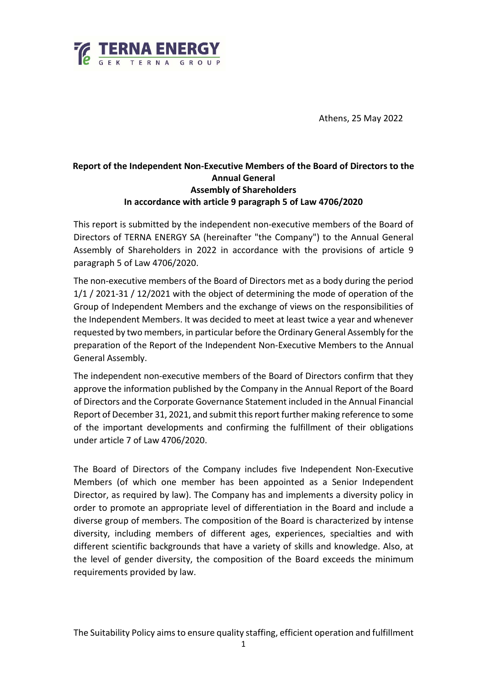

Athens, 25 May 2022

## **Report of the Independent Non-Executive Members of the Board of Directors to the Annual General Assembly of Shareholders In accordance with article 9 paragraph 5 of Law 4706/2020**

This report is submitted by the independent non-executive members of the Board of Directors of TERNA ENERGY SA (hereinafter "the Company") to the Annual General Assembly of Shareholders in 2022 in accordance with the provisions of article 9 paragraph 5 of Law 4706/2020.

The non-executive members of the Board of Directors met as a body during the period 1/1 / 2021-31 / 12/2021 with the object of determining the mode of operation of the Group of Independent Members and the exchange of views on the responsibilities of the Independent Members. It was decided to meet at least twice a year and whenever requested by two members, in particular before the Ordinary General Assembly for the preparation of the Report of the Independent Non-Executive Members to the Annual General Assembly.

The independent non-executive members of the Board of Directors confirm that they approve the information published by the Company in the Annual Report of the Board of Directors and the Corporate Governance Statement included in the Annual Financial Report of December 31, 2021, and submit this report further making reference to some of the important developments and confirming the fulfillment of their obligations under article 7 of Law 4706/2020.

The Board of Directors of the Company includes five Independent Non-Executive Members (of which one member has been appointed as a Senior Independent Director, as required by law). The Company has and implements a diversity policy in order to promote an appropriate level of differentiation in the Board and include a diverse group of members. The composition of the Board is characterized by intense diversity, including members of different ages, experiences, specialties and with different scientific backgrounds that have a variety of skills and knowledge. Also, at the level of gender diversity, the composition of the Board exceeds the minimum requirements provided by law.

The Suitability Policy aims to ensure quality staffing, efficient operation and fulfillment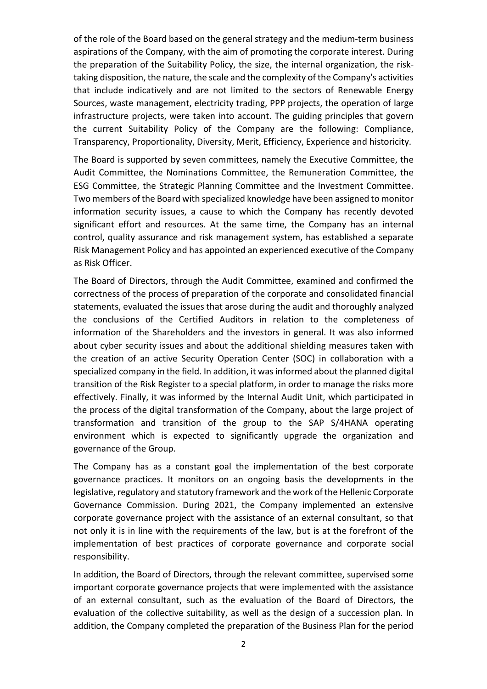of the role of the Board based on the general strategy and the medium-term business aspirations of the Company, with the aim of promoting the corporate interest. During the preparation of the Suitability Policy, the size, the internal organization, the risktaking disposition, the nature, the scale and the complexity of the Company's activities that include indicatively and are not limited to the sectors of Renewable Energy Sources, waste management, electricity trading, PPP projects, the operation of large infrastructure projects, were taken into account. The guiding principles that govern the current Suitability Policy of the Company are the following: Compliance, Transparency, Proportionality, Diversity, Merit, Efficiency, Experience and historicity.

The Board is supported by seven committees, namely the Executive Committee, the Audit Committee, the Nominations Committee, the Remuneration Committee, the ESG Committee, the Strategic Planning Committee and the Investment Committee. Two members of the Board with specialized knowledge have been assigned to monitor information security issues, a cause to which the Company has recently devoted significant effort and resources. At the same time, the Company has an internal control, quality assurance and risk management system, has established a separate Risk Management Policy and has appointed an experienced executive of the Company as Risk Officer.

The Board of Directors, through the Audit Committee, examined and confirmed the correctness of the process of preparation of the corporate and consolidated financial statements, evaluated the issues that arose during the audit and thoroughly analyzed the conclusions of the Certified Auditors in relation to the completeness of information of the Shareholders and the investors in general. It was also informed about cyber security issues and about the additional shielding measures taken with the creation of an active Security Operation Center (SOC) in collaboration with a specialized company in the field. In addition, it was informed about the planned digital transition of the Risk Register to a special platform, in order to manage the risks more effectively. Finally, it was informed by the Internal Audit Unit, which participated in the process of the digital transformation of the Company, about the large project of transformation and transition of the group to the SAP S/4HANA operating environment which is expected to significantly upgrade the organization and governance of the Group.

The Company has as a constant goal the implementation of the best corporate governance practices. It monitors on an ongoing basis the developments in the legislative, regulatory and statutory framework and the work of the Hellenic Corporate Governance Commission. During 2021, the Company implemented an extensive corporate governance project with the assistance of an external consultant, so that not only it is in line with the requirements of the law, but is at the forefront of the implementation of best practices of corporate governance and corporate social responsibility.

In addition, the Board of Directors, through the relevant committee, supervised some important corporate governance projects that were implemented with the assistance of an external consultant, such as the evaluation of the Board of Directors, the evaluation of the collective suitability, as well as the design of a succession plan. In addition, the Company completed the preparation of the Business Plan for the period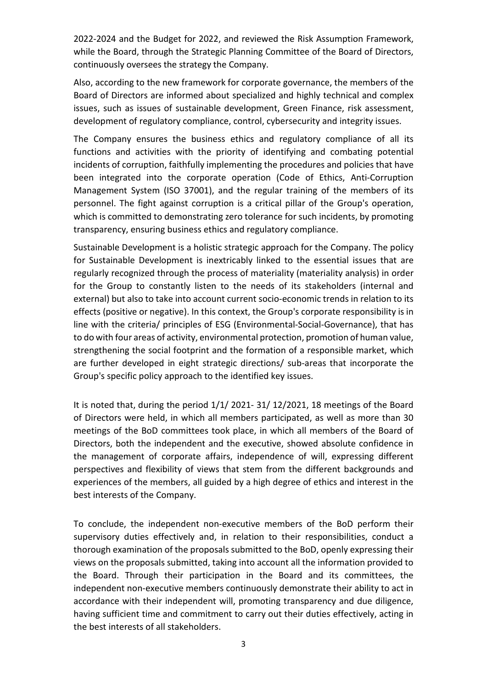2022-2024 and the Budget for 2022, and reviewed the Risk Assumption Framework, while the Board, through the Strategic Planning Committee of the Board of Directors, continuously oversees the strategy the Company.

Also, according to the new framework for corporate governance, the members of the Board of Directors are informed about specialized and highly technical and complex issues, such as issues of sustainable development, Green Finance, risk assessment, development of regulatory compliance, control, cybersecurity and integrity issues.

The Company ensures the business ethics and regulatory compliance of all its functions and activities with the priority of identifying and combating potential incidents of corruption, faithfully implementing the procedures and policies that have been integrated into the corporate operation (Code of Ethics, Anti-Corruption Management System (ISO 37001), and the regular training of the members of its personnel. The fight against corruption is a critical pillar of the Group's operation, which is committed to demonstrating zero tolerance for such incidents, by promoting transparency, ensuring business ethics and regulatory compliance.

Sustainable Development is a holistic strategic approach for the Company. The policy for Sustainable Development is inextricably linked to the essential issues that are regularly recognized through the process of materiality (materiality analysis) in order for the Group to constantly listen to the needs of its stakeholders (internal and external) but also to take into account current socio-economic trends in relation to its effects (positive or negative). In this context, the Group's corporate responsibility is in line with the criteria/ principles of ESG (Environmental-Social-Governance), that has to do with four areas of activity, environmental protection, promotion of human value, strengthening the social footprint and the formation of a responsible market, which are further developed in eight strategic directions/ sub-areas that incorporate the Group's specific policy approach to the identified key issues.

It is noted that, during the period 1/1/ 2021- 31/ 12/2021, 18 meetings of the Board of Directors were held, in which all members participated, as well as more than 30 meetings of the BoD committees took place, in which all members of the Board of Directors, both the independent and the executive, showed absolute confidence in the management of corporate affairs, independence of will, expressing different perspectives and flexibility of views that stem from the different backgrounds and experiences of the members, all guided by a high degree of ethics and interest in the best interests of the Company.

To conclude, the independent non-executive members of the BoD perform their supervisory duties effectively and, in relation to their responsibilities, conduct a thorough examination of the proposals submitted to the BoD, openly expressing their views on the proposals submitted, taking into account all the information provided to the Board. Through their participation in the Board and its committees, the independent non-executive members continuously demonstrate their ability to act in accordance with their independent will, promoting transparency and due diligence, having sufficient time and commitment to carry out their duties effectively, acting in the best interests of all stakeholders.